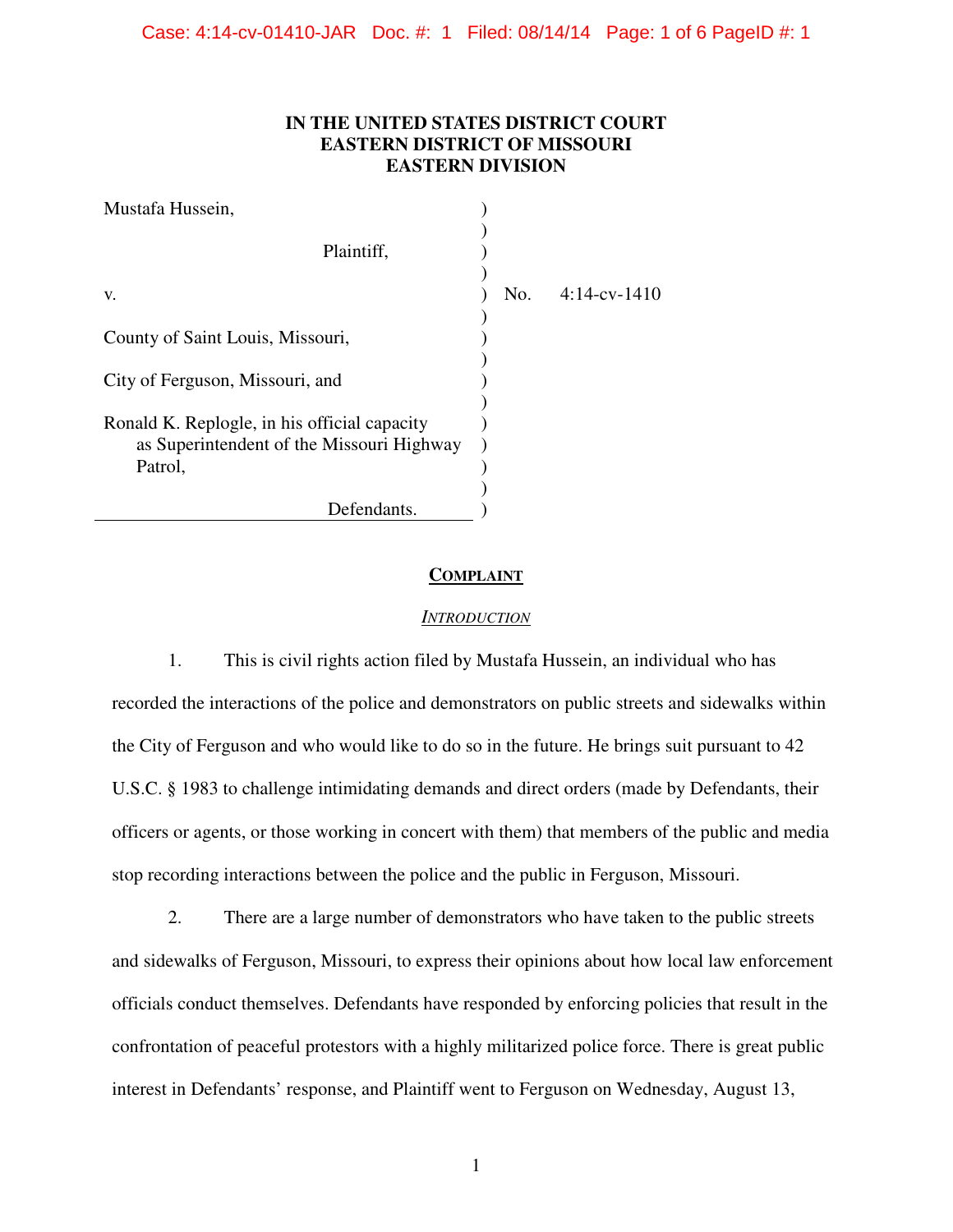# **IN THE UNITED STATES DISTRICT COURT EASTERN DISTRICT OF MISSOURI EASTERN DIVISION**

| Mustafa Hussein,                                                                                     |     |                 |
|------------------------------------------------------------------------------------------------------|-----|-----------------|
| Plaintiff,                                                                                           |     |                 |
| V.                                                                                                   | No. | $4:14$ -cv-1410 |
| County of Saint Louis, Missouri,                                                                     |     |                 |
| City of Ferguson, Missouri, and                                                                      |     |                 |
| Ronald K. Replogle, in his official capacity<br>as Superintendent of the Missouri Highway<br>Patrol, |     |                 |
| Defendants.                                                                                          |     |                 |

# **COMPLAINT**

### *INTRODUCTION*

1. This is civil rights action filed by Mustafa Hussein, an individual who has recorded the interactions of the police and demonstrators on public streets and sidewalks within the City of Ferguson and who would like to do so in the future. He brings suit pursuant to 42 U.S.C. § 1983 to challenge intimidating demands and direct orders (made by Defendants, their officers or agents, or those working in concert with them) that members of the public and media stop recording interactions between the police and the public in Ferguson, Missouri.

2. There are a large number of demonstrators who have taken to the public streets and sidewalks of Ferguson, Missouri, to express their opinions about how local law enforcement officials conduct themselves. Defendants have responded by enforcing policies that result in the confrontation of peaceful protestors with a highly militarized police force. There is great public interest in Defendants' response, and Plaintiff went to Ferguson on Wednesday, August 13,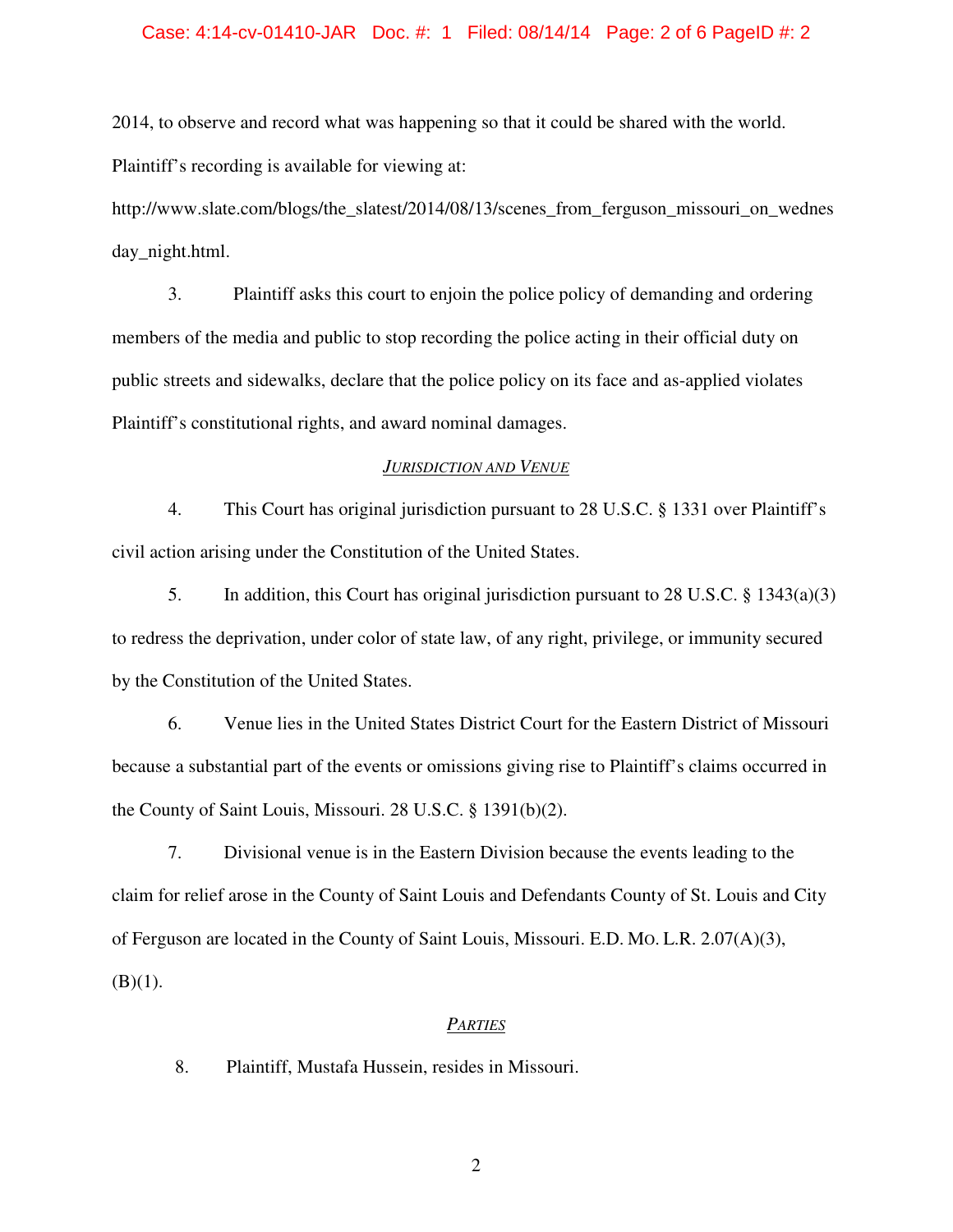# Case: 4:14-cv-01410-JAR Doc. #: 1 Filed: 08/14/14 Page: 2 of 6 PageID #: 2

2014, to observe and record what was happening so that it could be shared with the world. Plaintiff's recording is available for viewing at:

http://www.slate.com/blogs/the\_slatest/2014/08/13/scenes\_from\_ferguson\_missouri\_on\_wednes day night.html.

3. Plaintiff asks this court to enjoin the police policy of demanding and ordering members of the media and public to stop recording the police acting in their official duty on public streets and sidewalks, declare that the police policy on its face and as-applied violates Plaintiff's constitutional rights, and award nominal damages.

# *JURISDICTION AND VENUE*

4. This Court has original jurisdiction pursuant to 28 U.S.C. § 1331 over Plaintiff's civil action arising under the Constitution of the United States.

5. In addition, this Court has original jurisdiction pursuant to 28 U.S.C. § 1343(a)(3) to redress the deprivation, under color of state law, of any right, privilege, or immunity secured by the Constitution of the United States.

6. Venue lies in the United States District Court for the Eastern District of Missouri because a substantial part of the events or omissions giving rise to Plaintiff's claims occurred in the County of Saint Louis, Missouri. 28 U.S.C. § 1391(b)(2).

7. Divisional venue is in the Eastern Division because the events leading to the claim for relief arose in the County of Saint Louis and Defendants County of St. Louis and City of Ferguson are located in the County of Saint Louis, Missouri. E.D. MO. L.R. 2.07(A)(3),  $(B)(1)$ .

#### *PARTIES*

8. Plaintiff, Mustafa Hussein, resides in Missouri.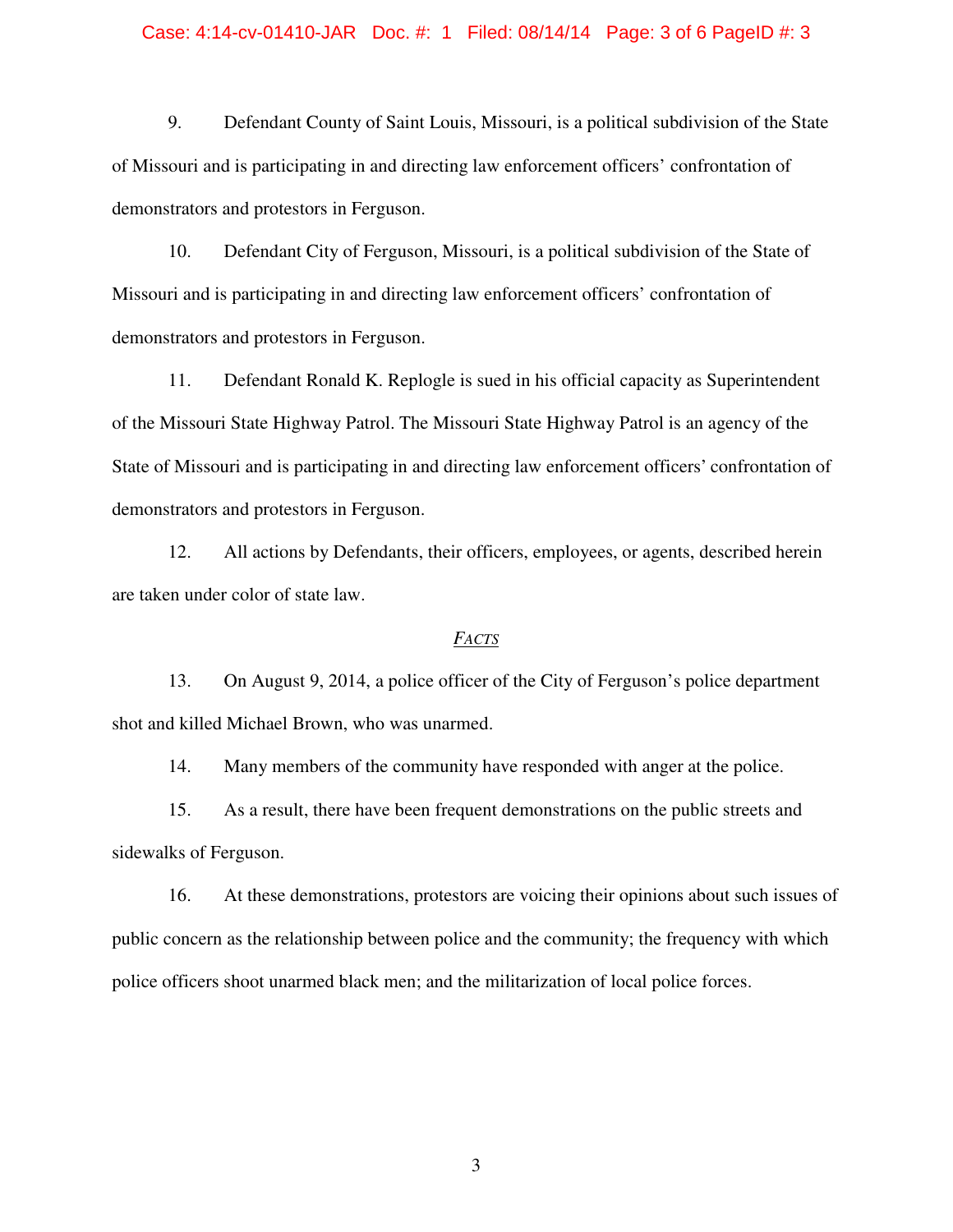# Case: 4:14-cv-01410-JAR Doc. #: 1 Filed: 08/14/14 Page: 3 of 6 PageID #: 3

9. Defendant County of Saint Louis, Missouri, is a political subdivision of the State of Missouri and is participating in and directing law enforcement officers' confrontation of demonstrators and protestors in Ferguson.

10. Defendant City of Ferguson, Missouri, is a political subdivision of the State of Missouri and is participating in and directing law enforcement officers' confrontation of demonstrators and protestors in Ferguson.

11. Defendant Ronald K. Replogle is sued in his official capacity as Superintendent of the Missouri State Highway Patrol. The Missouri State Highway Patrol is an agency of the State of Missouri and is participating in and directing law enforcement officers' confrontation of demonstrators and protestors in Ferguson.

12. All actions by Defendants, their officers, employees, or agents, described herein are taken under color of state law.

#### *FACTS*

13. On August 9, 2014, a police officer of the City of Ferguson's police department shot and killed Michael Brown, who was unarmed.

14. Many members of the community have responded with anger at the police.

15. As a result, there have been frequent demonstrations on the public streets and sidewalks of Ferguson.

16. At these demonstrations, protestors are voicing their opinions about such issues of public concern as the relationship between police and the community; the frequency with which police officers shoot unarmed black men; and the militarization of local police forces.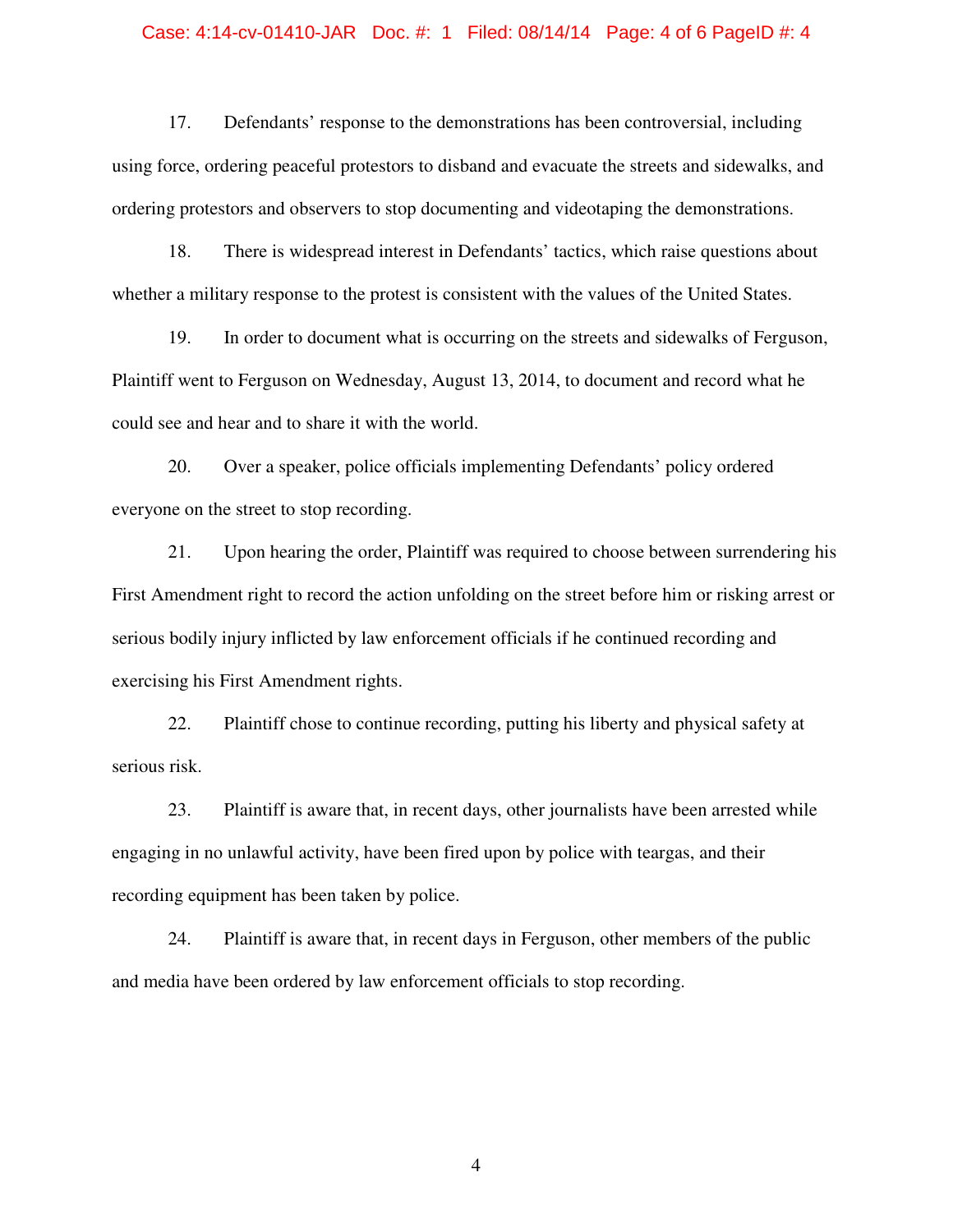# Case: 4:14-cv-01410-JAR Doc. #: 1 Filed: 08/14/14 Page: 4 of 6 PageID #: 4

17. Defendants' response to the demonstrations has been controversial, including using force, ordering peaceful protestors to disband and evacuate the streets and sidewalks, and ordering protestors and observers to stop documenting and videotaping the demonstrations.

18. There is widespread interest in Defendants' tactics, which raise questions about whether a military response to the protest is consistent with the values of the United States.

19. In order to document what is occurring on the streets and sidewalks of Ferguson, Plaintiff went to Ferguson on Wednesday, August 13, 2014, to document and record what he could see and hear and to share it with the world.

20. Over a speaker, police officials implementing Defendants' policy ordered everyone on the street to stop recording.

21. Upon hearing the order, Plaintiff was required to choose between surrendering his First Amendment right to record the action unfolding on the street before him or risking arrest or serious bodily injury inflicted by law enforcement officials if he continued recording and exercising his First Amendment rights.

22. Plaintiff chose to continue recording, putting his liberty and physical safety at serious risk.

23. Plaintiff is aware that, in recent days, other journalists have been arrested while engaging in no unlawful activity, have been fired upon by police with teargas, and their recording equipment has been taken by police.

24. Plaintiff is aware that, in recent days in Ferguson, other members of the public and media have been ordered by law enforcement officials to stop recording.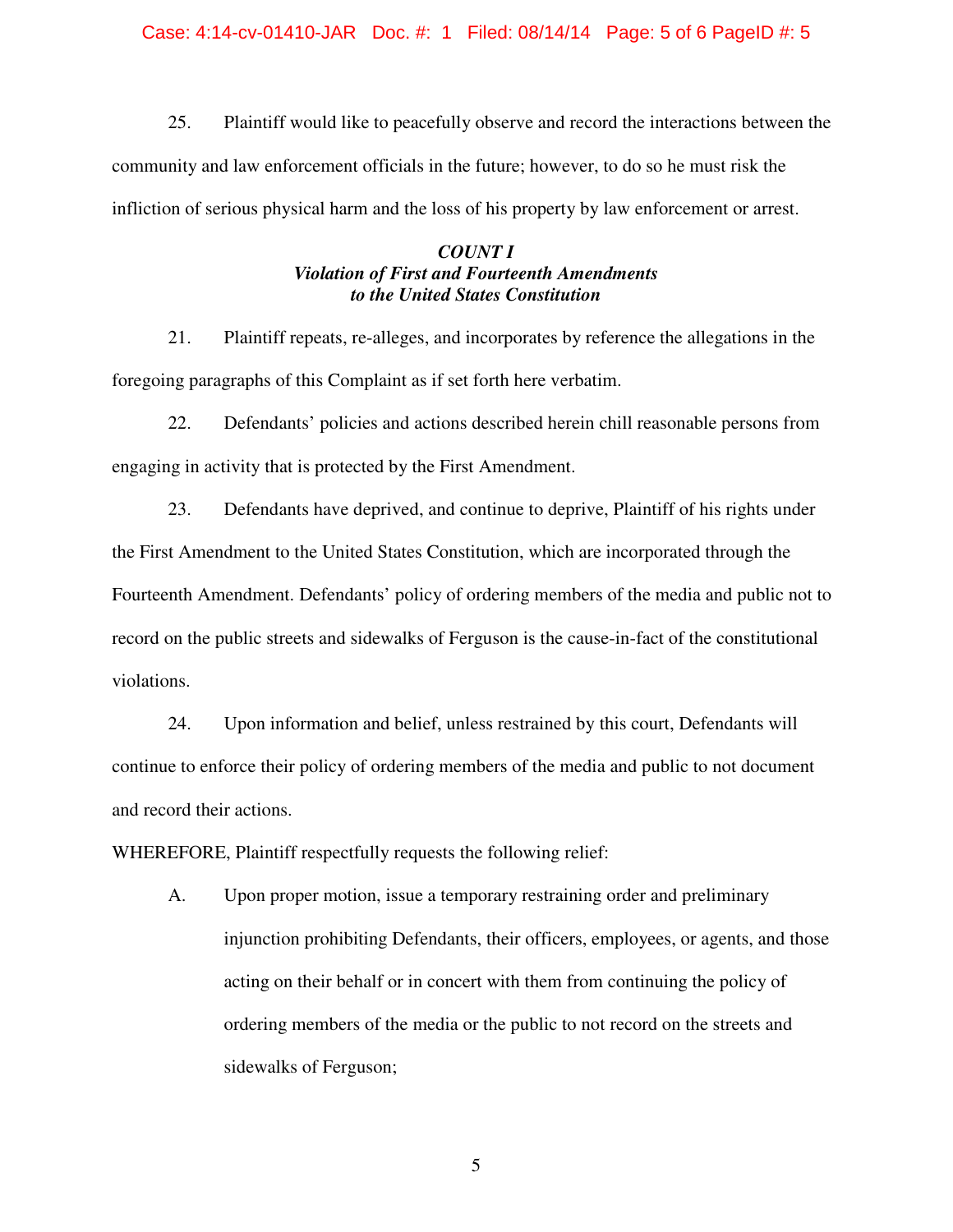# Case: 4:14-cv-01410-JAR Doc. #: 1 Filed: 08/14/14 Page: 5 of 6 PageID #: 5

25. Plaintiff would like to peacefully observe and record the interactions between the community and law enforcement officials in the future; however, to do so he must risk the infliction of serious physical harm and the loss of his property by law enforcement or arrest.

# *COUNT I Violation of First and Fourteenth Amendments to the United States Constitution*

21. Plaintiff repeats, re-alleges, and incorporates by reference the allegations in the foregoing paragraphs of this Complaint as if set forth here verbatim.

22. Defendants' policies and actions described herein chill reasonable persons from engaging in activity that is protected by the First Amendment.

23. Defendants have deprived, and continue to deprive, Plaintiff of his rights under the First Amendment to the United States Constitution, which are incorporated through the Fourteenth Amendment. Defendants' policy of ordering members of the media and public not to record on the public streets and sidewalks of Ferguson is the cause-in-fact of the constitutional violations.

24. Upon information and belief, unless restrained by this court, Defendants will continue to enforce their policy of ordering members of the media and public to not document and record their actions.

WHEREFORE, Plaintiff respectfully requests the following relief:

A. Upon proper motion, issue a temporary restraining order and preliminary injunction prohibiting Defendants, their officers, employees, or agents, and those acting on their behalf or in concert with them from continuing the policy of ordering members of the media or the public to not record on the streets and sidewalks of Ferguson;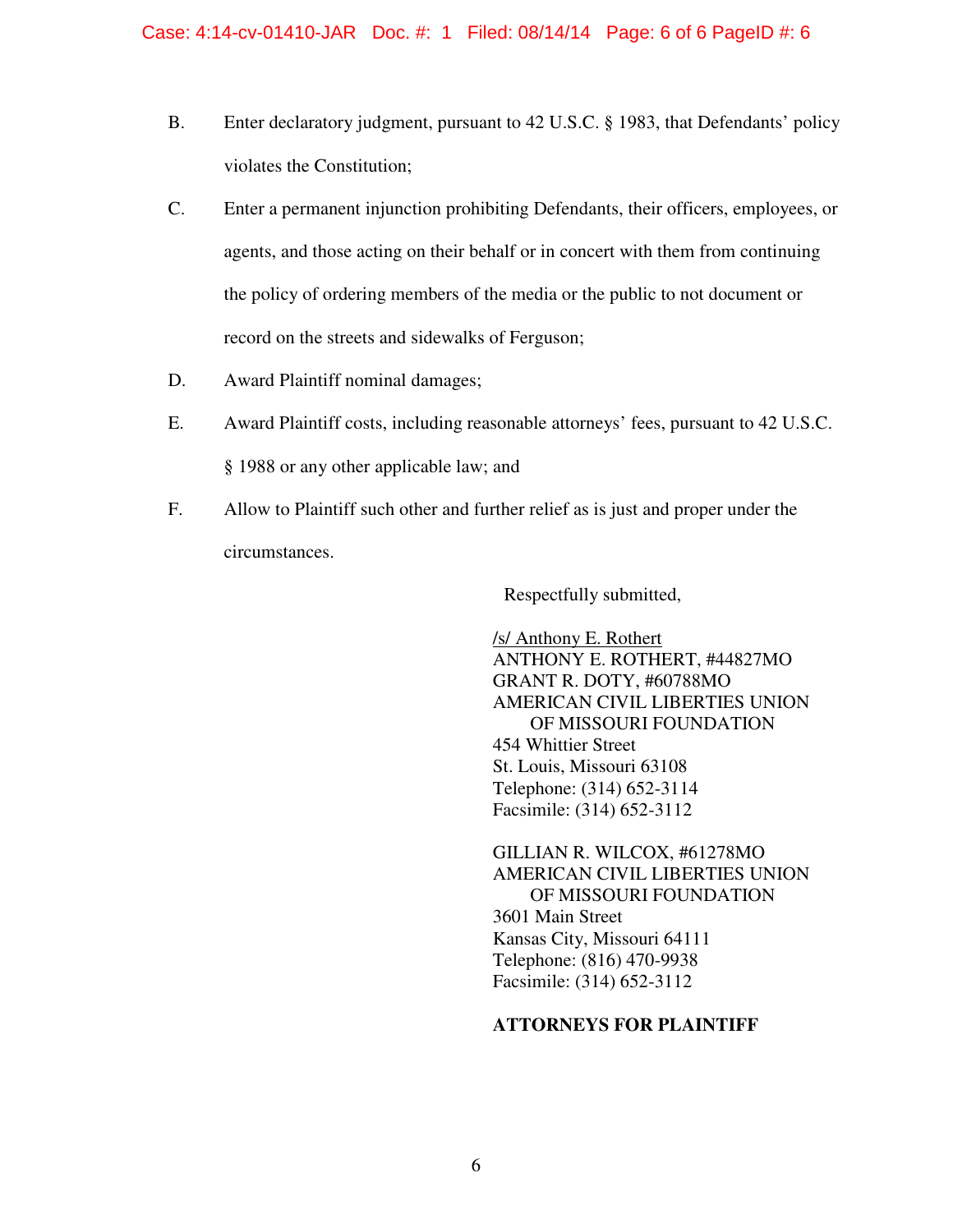- B. Enter declaratory judgment, pursuant to 42 U.S.C. § 1983, that Defendants' policy violates the Constitution;
- C. Enter a permanent injunction prohibiting Defendants, their officers, employees, or agents, and those acting on their behalf or in concert with them from continuing the policy of ordering members of the media or the public to not document or record on the streets and sidewalks of Ferguson;
- D. Award Plaintiff nominal damages;
- E. Award Plaintiff costs, including reasonable attorneys' fees, pursuant to 42 U.S.C. § 1988 or any other applicable law; and
- F. Allow to Plaintiff such other and further relief as is just and proper under the circumstances.

Respectfully submitted,

/s/ Anthony E. Rothert ANTHONY E. ROTHERT, #44827MO GRANT R. DOTY, #60788MO AMERICAN CIVIL LIBERTIES UNION OF MISSOURI FOUNDATION 454 Whittier Street St. Louis, Missouri 63108 Telephone: (314) 652-3114 Facsimile: (314) 652-3112

GILLIAN R. WILCOX, #61278MO AMERICAN CIVIL LIBERTIES UNION OF MISSOURI FOUNDATION 3601 Main Street Kansas City, Missouri 64111 Telephone: (816) 470-9938 Facsimile: (314) 652-3112

# **ATTORNEYS FOR PLAINTIFF**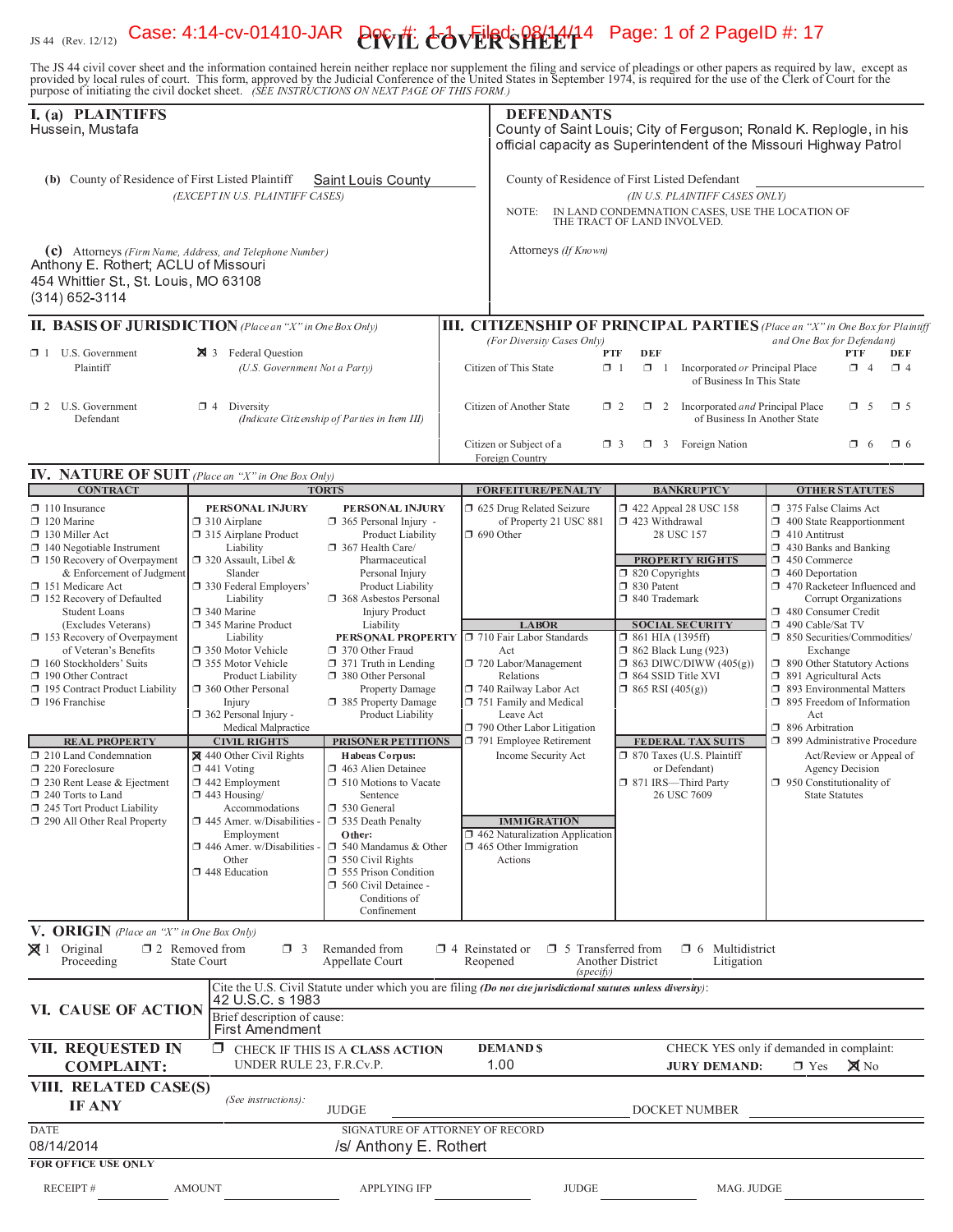# JS 44 (Rev. 12/12) Case: 4:14-cv-01410-JAR POVT: COVERSPECT14 Page: 1 of 2 PageID #: 17

The JS 44 civil cover sheet and the information contained herein neither replace nor supplement the filing and service of pleadings or other papers as required by law, except as provided by local rules of court. This form,

| I. (a) PLAINTIFFS<br>Hussein, Mustafa                                                                                                                                                                                                                                                                                                                                                                                                                                                                                                                                                                                                                             |                                                                                                                                                                                                                                                                                                                                                                                                                                                                                                                                                                                                                         |                                                                                                                                                                                                                                                                                                                                                                                                                                                                                                                                                                                                                                                                                                                                              |                          | <b>DEFENDANTS</b><br>County of Saint Louis; City of Ferguson; Ronald K. Replogle, in his<br>official capacity as Superintendent of the Missouri Highway Patrol                                                                                                                                                                                                                            |                                                                                                                                                                 |                                                                                                                                                                                                                                                                                                     |                                                                                                                                                                                                                                                                                                                                                                                                                                                                                                                                                                                                                                                               |
|-------------------------------------------------------------------------------------------------------------------------------------------------------------------------------------------------------------------------------------------------------------------------------------------------------------------------------------------------------------------------------------------------------------------------------------------------------------------------------------------------------------------------------------------------------------------------------------------------------------------------------------------------------------------|-------------------------------------------------------------------------------------------------------------------------------------------------------------------------------------------------------------------------------------------------------------------------------------------------------------------------------------------------------------------------------------------------------------------------------------------------------------------------------------------------------------------------------------------------------------------------------------------------------------------------|----------------------------------------------------------------------------------------------------------------------------------------------------------------------------------------------------------------------------------------------------------------------------------------------------------------------------------------------------------------------------------------------------------------------------------------------------------------------------------------------------------------------------------------------------------------------------------------------------------------------------------------------------------------------------------------------------------------------------------------------|--------------------------|-------------------------------------------------------------------------------------------------------------------------------------------------------------------------------------------------------------------------------------------------------------------------------------------------------------------------------------------------------------------------------------------|-----------------------------------------------------------------------------------------------------------------------------------------------------------------|-----------------------------------------------------------------------------------------------------------------------------------------------------------------------------------------------------------------------------------------------------------------------------------------------------|---------------------------------------------------------------------------------------------------------------------------------------------------------------------------------------------------------------------------------------------------------------------------------------------------------------------------------------------------------------------------------------------------------------------------------------------------------------------------------------------------------------------------------------------------------------------------------------------------------------------------------------------------------------|
| (b) County of Residence of First Listed Plaintiff<br>Saint Louis County<br>(EXCEPT IN U.S. PLAINTIFF CASES)                                                                                                                                                                                                                                                                                                                                                                                                                                                                                                                                                       |                                                                                                                                                                                                                                                                                                                                                                                                                                                                                                                                                                                                                         |                                                                                                                                                                                                                                                                                                                                                                                                                                                                                                                                                                                                                                                                                                                                              |                          | County of Residence of First Listed Defendant<br>(IN U.S. PLAINTIFF CASES ONLY)<br>IN LAND CONDEMNATION CASES, USE THE LOCATION OF<br>NOTE:<br>THE TRACT OF LAND INVOLVED.                                                                                                                                                                                                                |                                                                                                                                                                 |                                                                                                                                                                                                                                                                                                     |                                                                                                                                                                                                                                                                                                                                                                                                                                                                                                                                                                                                                                                               |
| $(c)$ Attorneys (Firm Name, Address, and Telephone Number)<br>Anthony E. Rothert; ACLU of Missouri<br>454 Whittier St., St. Louis, MO 63108<br>$(314)$ 652-3114                                                                                                                                                                                                                                                                                                                                                                                                                                                                                                   |                                                                                                                                                                                                                                                                                                                                                                                                                                                                                                                                                                                                                         |                                                                                                                                                                                                                                                                                                                                                                                                                                                                                                                                                                                                                                                                                                                                              |                          | Attorneys (If Known)                                                                                                                                                                                                                                                                                                                                                                      |                                                                                                                                                                 |                                                                                                                                                                                                                                                                                                     |                                                                                                                                                                                                                                                                                                                                                                                                                                                                                                                                                                                                                                                               |
| <b>II. BASIS OF JURISDICTION</b> (Place an "X" in One Box Only)                                                                                                                                                                                                                                                                                                                                                                                                                                                                                                                                                                                                   |                                                                                                                                                                                                                                                                                                                                                                                                                                                                                                                                                                                                                         |                                                                                                                                                                                                                                                                                                                                                                                                                                                                                                                                                                                                                                                                                                                                              |                          |                                                                                                                                                                                                                                                                                                                                                                                           |                                                                                                                                                                 |                                                                                                                                                                                                                                                                                                     | <b>III. CITIZENSHIP OF PRINCIPAL PARTIES</b> (Place an "X" in One Box for Plaintiff                                                                                                                                                                                                                                                                                                                                                                                                                                                                                                                                                                           |
| $\Box$ 1 U.S. Government<br>Plaintiff                                                                                                                                                                                                                                                                                                                                                                                                                                                                                                                                                                                                                             | 3 Federal Question<br>(U.S. Government Not a Party)                                                                                                                                                                                                                                                                                                                                                                                                                                                                                                                                                                     |                                                                                                                                                                                                                                                                                                                                                                                                                                                                                                                                                                                                                                                                                                                                              | Citizen of This State    | (For Diversity Cases Only)                                                                                                                                                                                                                                                                                                                                                                | <b>DEF</b><br>PTF<br>$\Box$ 1<br>$\Box$ 1                                                                                                                       | Incorporated or Principal Place<br>of Business In This State                                                                                                                                                                                                                                        | and One Box for Defendant)<br>PTF<br>DEF<br>$\Box$ 4<br>$\Box$ 4                                                                                                                                                                                                                                                                                                                                                                                                                                                                                                                                                                                              |
| $\Box$ 2 U.S. Government<br>Defendant                                                                                                                                                                                                                                                                                                                                                                                                                                                                                                                                                                                                                             | $\Box$ 4 Diversity                                                                                                                                                                                                                                                                                                                                                                                                                                                                                                                                                                                                      | (Indicate Citizenship of Parties in Item III)                                                                                                                                                                                                                                                                                                                                                                                                                                                                                                                                                                                                                                                                                                |                          | Citizen of Another State                                                                                                                                                                                                                                                                                                                                                                  | $\Box$ 2<br>$\Box$ 2                                                                                                                                            | Incorporated and Principal Place<br>of Business In Another State                                                                                                                                                                                                                                    | $\square$ 5<br>$\Box$ 5                                                                                                                                                                                                                                                                                                                                                                                                                                                                                                                                                                                                                                       |
|                                                                                                                                                                                                                                                                                                                                                                                                                                                                                                                                                                                                                                                                   |                                                                                                                                                                                                                                                                                                                                                                                                                                                                                                                                                                                                                         |                                                                                                                                                                                                                                                                                                                                                                                                                                                                                                                                                                                                                                                                                                                                              | Foreign Country          | Citizen or Subject of a                                                                                                                                                                                                                                                                                                                                                                   | $\Box$ 3                                                                                                                                                        | $\Box$ 3 Foreign Nation                                                                                                                                                                                                                                                                             | $\Box$ 6<br>$\Box$ 6                                                                                                                                                                                                                                                                                                                                                                                                                                                                                                                                                                                                                                          |
| <b>IV. NATURE OF SUIT</b> (Place an "X" in One Box Only)                                                                                                                                                                                                                                                                                                                                                                                                                                                                                                                                                                                                          |                                                                                                                                                                                                                                                                                                                                                                                                                                                                                                                                                                                                                         |                                                                                                                                                                                                                                                                                                                                                                                                                                                                                                                                                                                                                                                                                                                                              |                          |                                                                                                                                                                                                                                                                                                                                                                                           |                                                                                                                                                                 |                                                                                                                                                                                                                                                                                                     |                                                                                                                                                                                                                                                                                                                                                                                                                                                                                                                                                                                                                                                               |
| <b>CONTRACT</b><br>$\Box$ 110 Insurance<br>$\Box$ 120 Marine<br>$\Box$ 130 Miller Act<br>$\Box$ 140 Negotiable Instrument<br>$\Box$ 150 Recovery of Overpayment<br>& Enforcement of Judgment<br>151 Medicare Act<br>152 Recovery of Defaulted<br><b>Student Loans</b><br>(Excludes Veterans)<br>153 Recovery of Overpayment<br>of Veteran's Benefits<br>160 Stockholders' Suits<br>190 Other Contract<br>195 Contract Product Liability<br>196 Franchise<br><b>REAL PROPERTY</b><br>$\Box$ 210 Land Condemnation<br>$\Box$ 220 Foreclosure<br>$\Box$ 230 Rent Lease & Ejectment<br>240 Torts to Land<br>245 Tort Product Liability<br>290 All Other Real Property | PERSONAL INJURY<br>$\Box$ 310 Airplane<br>□ 315 Airplane Product<br>Liability<br>$\Box$ 320 Assault, Libel &<br>Slander<br>□ 330 Federal Employers'<br>Liability<br>□ 340 Marine<br>345 Marine Product<br>Liability<br>□ 350 Motor Vehicle<br>□ 355 Motor Vehicle<br>Product Liability<br>360 Other Personal<br>Injury<br>362 Personal Injury -<br>Medical Malpractice<br><b>CIVIL RIGHTS</b><br>440 Other Civil Rights<br>$\Box$ 441 Voting<br>$\Box$ 442 Employment<br>$\Box$ 443 Housing/<br>Accommodations<br>$\Box$ 445 Amer. w/Disabilities<br>Employment<br>446 Amer. w/Disabilities -<br>Other<br>448 Education | <b>TORTS</b><br>PERSONAL INJURY<br>$\Box$ 365 Personal Injury -<br>Product Liability<br>367 Health Care/<br>Pharmaceutical<br>Personal Injury<br>Product Liability<br>368 Asbestos Personal<br><b>Injury Product</b><br>Liability<br>PERSONAL PROPERTY <b>D</b> 710 Fair Labor Standards<br>370 Other Fraud<br>$\Box$ 371 Truth in Lending<br>380 Other Personal<br>Property Damage<br>385 Property Damage<br>Product Liability<br><b>PRISONER PETITIONS</b><br><b>Habeas Corpus:</b><br>$\Box$ 463 Alien Detainee<br>□ 510 Motions to Vacate<br>Sentence<br>□ 530 General<br>535 Death Penalty<br>Other:<br>$\Box$ 540 Mandamus & Other<br>550 Civil Rights<br>555 Prison Condition<br>560 Civil Detainee -<br>Conditions of<br>Confinement | $\Box$ 690 Other<br>Act  | FORFEITURE/PENALTY<br>5 625 Drug Related Seizure<br>of Property 21 USC 881<br><b>LABOR</b><br>720 Labor/Management<br>Relations<br>740 Railway Labor Act<br>751 Family and Medical<br>Leave Act<br>790 Other Labor Litigation<br>791 Employee Retirement<br>Income Security Act<br><b>IMMIGRATION</b><br>$\Box$ 462 Naturalization Application<br>$\Box$ 465 Other Immigration<br>Actions | $\Box$ 423 Withdrawal<br>$\Box$ 820 Copyrights<br>□ 830 Patent<br>□ 840 Trademark<br>$\Box$ 861 HIA (1395ff)<br>□ 864 SSID Title XVI<br>$\Box$ 865 RSI (405(g)) | <b>BANKRUPTCY</b><br>1422 Appeal 28 USC 158<br>28 USC 157<br><b>PROPERTY RIGHTS</b><br><b>SOCIAL SECURITY</b><br><b>1</b> 862 Black Lung (923)<br>$\Box$ 863 DIWC/DIWW (405(g))<br><b>FEDERAL TAX SUITS</b><br>□ 870 Taxes (U.S. Plaintiff<br>or Defendant)<br>□ 871 IRS—Third Party<br>26 USC 7609 | <b>OTHER STATUTES</b><br>375 False Claims Act<br>$\Box$ 400 State Reapportionment<br>$\Box$ 410 Antitrust<br>$\Box$ 430 Banks and Banking<br>450 Commerce<br>$\Box$ 460 Deportation<br>$\Box$ 470 Racketeer Influenced and<br>Corrupt Organizations<br>480 Consumer Credit<br>490 Cable/Sat TV<br>□ 850 Securities/Commodities/<br>Exchange<br>□ 890 Other Statutory Actions<br>$\Box$ 891 Agricultural Acts<br>1 893 Environmental Matters<br>$\Box$ 895 Freedom of Information<br>Act<br>$\Box$ 896 Arbitration<br>□ 899 Administrative Procedure<br>Act/Review or Appeal of<br>Agency Decision<br>$\Box$ 950 Constitutionality of<br><b>State Statutes</b> |
| <b>V. ORIGIN</b> (Place an "X" in One Box Only)                                                                                                                                                                                                                                                                                                                                                                                                                                                                                                                                                                                                                   |                                                                                                                                                                                                                                                                                                                                                                                                                                                                                                                                                                                                                         |                                                                                                                                                                                                                                                                                                                                                                                                                                                                                                                                                                                                                                                                                                                                              |                          |                                                                                                                                                                                                                                                                                                                                                                                           |                                                                                                                                                                 |                                                                                                                                                                                                                                                                                                     |                                                                                                                                                                                                                                                                                                                                                                                                                                                                                                                                                                                                                                                               |
| $\boxtimes$ 1 Original<br>Proceeding                                                                                                                                                                                                                                                                                                                                                                                                                                                                                                                                                                                                                              | $\square$ 2 Removed from<br>$\Box$ 3<br><b>State Court</b>                                                                                                                                                                                                                                                                                                                                                                                                                                                                                                                                                              | Remanded from<br>Appellate Court                                                                                                                                                                                                                                                                                                                                                                                                                                                                                                                                                                                                                                                                                                             | Reopened                 | $\Box$ 4 Reinstated or $\Box$ 5 Transferred from                                                                                                                                                                                                                                                                                                                                          | Another District                                                                                                                                                | $\Box$ 6 Multidistrict<br>Litigation                                                                                                                                                                                                                                                                |                                                                                                                                                                                                                                                                                                                                                                                                                                                                                                                                                                                                                                                               |
| VI. CAUSE OF ACTION                                                                                                                                                                                                                                                                                                                                                                                                                                                                                                                                                                                                                                               | 42 U S C s 1983<br>Brief description of cause:<br><b>First Amendment</b>                                                                                                                                                                                                                                                                                                                                                                                                                                                                                                                                                | Cite the U.S. Civil Statute under which you are filing (Do not cite jurisdictional statutes unless diversity):                                                                                                                                                                                                                                                                                                                                                                                                                                                                                                                                                                                                                               |                          | (specify)                                                                                                                                                                                                                                                                                                                                                                                 |                                                                                                                                                                 |                                                                                                                                                                                                                                                                                                     |                                                                                                                                                                                                                                                                                                                                                                                                                                                                                                                                                                                                                                                               |
| <b>VII. REQUESTED IN</b><br><b>COMPLAINT:</b>                                                                                                                                                                                                                                                                                                                                                                                                                                                                                                                                                                                                                     | Π.<br>UNDER RULE 23, F.R.Cv.P.                                                                                                                                                                                                                                                                                                                                                                                                                                                                                                                                                                                          | CHECK IF THIS IS A CLASS ACTION                                                                                                                                                                                                                                                                                                                                                                                                                                                                                                                                                                                                                                                                                                              | <b>DEMAND \$</b><br>1.00 |                                                                                                                                                                                                                                                                                                                                                                                           |                                                                                                                                                                 | <b>JURY DEMAND:</b>                                                                                                                                                                                                                                                                                 | CHECK YES only if demanded in complaint:<br>$\boxtimes$ No<br>$\Box$ Yes                                                                                                                                                                                                                                                                                                                                                                                                                                                                                                                                                                                      |
| VIII. RELATED CASE(S)<br><b>IF ANY</b>                                                                                                                                                                                                                                                                                                                                                                                                                                                                                                                                                                                                                            | (See instructions):                                                                                                                                                                                                                                                                                                                                                                                                                                                                                                                                                                                                     | <b>JUDGE</b>                                                                                                                                                                                                                                                                                                                                                                                                                                                                                                                                                                                                                                                                                                                                 |                          |                                                                                                                                                                                                                                                                                                                                                                                           |                                                                                                                                                                 | DOCKET NUMBER                                                                                                                                                                                                                                                                                       |                                                                                                                                                                                                                                                                                                                                                                                                                                                                                                                                                                                                                                                               |
| <b>DATE</b><br>08/14/2014<br><b>FOR OFFICE USE ONLY</b>                                                                                                                                                                                                                                                                                                                                                                                                                                                                                                                                                                                                           |                                                                                                                                                                                                                                                                                                                                                                                                                                                                                                                                                                                                                         | SIGNATURE OF ATTORNEY OF RECORD<br>/s/ Anthony E. Rothert                                                                                                                                                                                                                                                                                                                                                                                                                                                                                                                                                                                                                                                                                    |                          |                                                                                                                                                                                                                                                                                                                                                                                           |                                                                                                                                                                 |                                                                                                                                                                                                                                                                                                     |                                                                                                                                                                                                                                                                                                                                                                                                                                                                                                                                                                                                                                                               |
| <b>RECEIPT#</b>                                                                                                                                                                                                                                                                                                                                                                                                                                                                                                                                                                                                                                                   | <b>AMOUNT</b>                                                                                                                                                                                                                                                                                                                                                                                                                                                                                                                                                                                                           | <b>APPLYING IFP</b>                                                                                                                                                                                                                                                                                                                                                                                                                                                                                                                                                                                                                                                                                                                          |                          | <b>JUDGE</b>                                                                                                                                                                                                                                                                                                                                                                              |                                                                                                                                                                 | MAG. JUDGE                                                                                                                                                                                                                                                                                          |                                                                                                                                                                                                                                                                                                                                                                                                                                                                                                                                                                                                                                                               |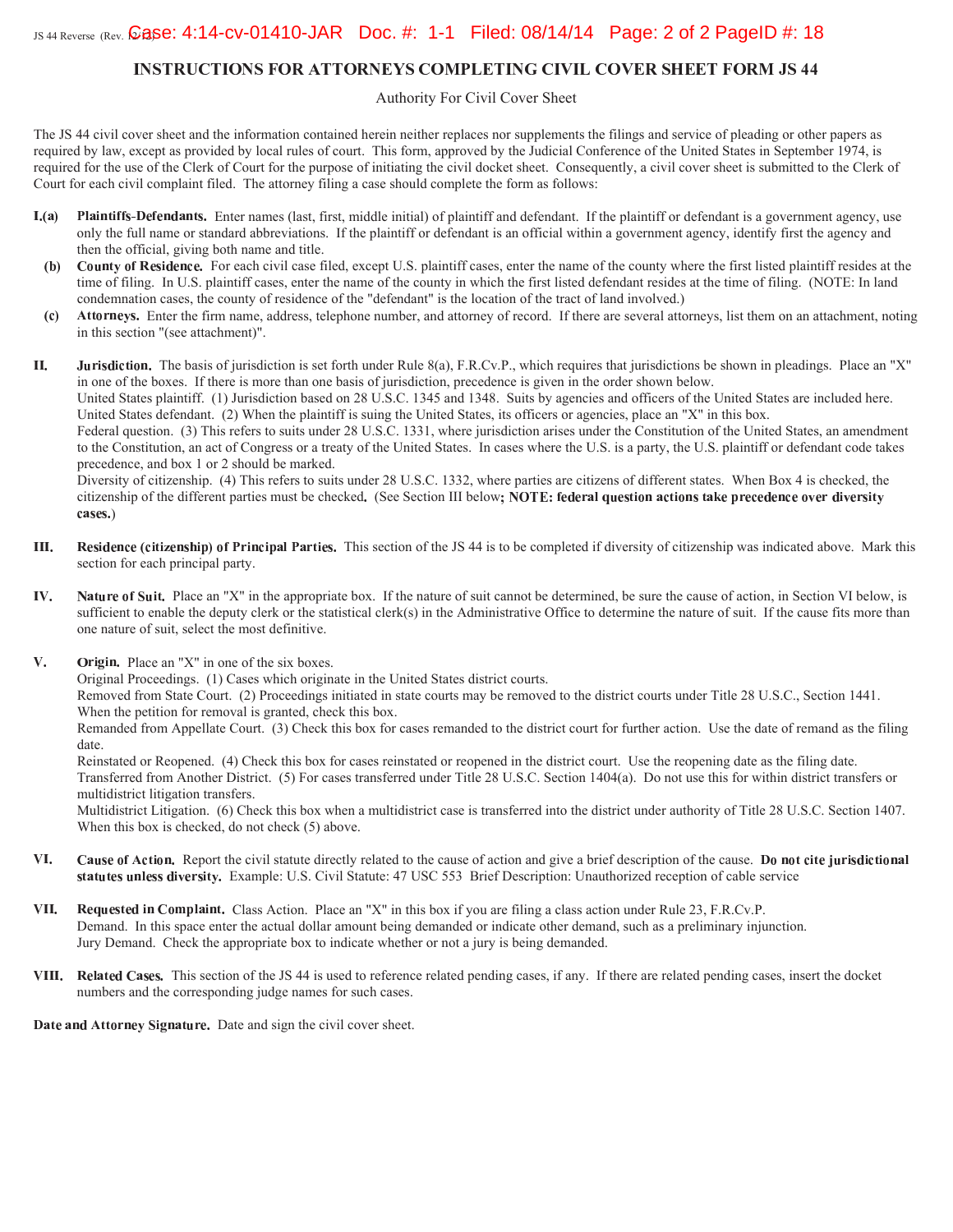# **INSTRUCTIONS FOR ATTORNEYS COMPLETING CIVIL COVER SHEET FORM JS 44**

Authority For Civil Cover Sheet

The JS 44 civil cover sheet and the information contained herein neither replaces nor supplements the filings and service of pleading or other papers as required by law, except as provided by local rules of court. This form, approved by the Judicial Conference of the United States in September 1974, is required for the use of the Clerk of Court for the purpose of initiating the civil docket sheet. Consequently, a civil cover sheet is submitted to the Clerk of Court for each civil complaint filed. The attorney filing a case should complete the form as follows:

- $L(a)$ **Plaintiffs-Defendants.** Enter names (last, first, middle initial) of plaintiff and defendant. If the plaintiff or defendant is a government agency, use only the full name or standard abbreviations. If the plaintiff or defendant is an official within a government agency, identify first the agency and then the official, giving both name and title.
	- County of Residence. For each civil case filed, except U.S. plaintiff cases, enter the name of the county where the first listed plaintiff resides at the (b) time of filing. In U.S. plaintiff cases, enter the name of the county in which the first listed defendant resides at the time of filing. (NOTE: In land condemnation cases, the county of residence of the "defendant" is the location of the tract of land involved.)
	- Attorneys. Enter the firm name, address, telephone number, and attorney of record. If there are several attorneys, list them on an attachment, noting  $(c)$ in this section "(see attachment)".

II. Jurisdiction. The basis of jurisdiction is set forth under Rule 8(a), F.R.Cv.P., which requires that jurisdictions be shown in pleadings. Place an "X" in one of the boxes. If there is more than one basis of jurisdiction, precedence is given in the order shown below. United States plaintiff. (1) Jurisdiction based on 28 U.S.C. 1345 and 1348. Suits by agencies and officers of the United States are included here. United States defendant. (2) When the plaintiff is suing the United States, its officers or agencies, place an "X" in this box. Federal question. (3) This refers to suits under 28 U.S.C. 1331, where jurisdiction arises under the Constitution of the United States, an amendment to the Constitution, an act of Congress or a treaty of the United States. In cases where the U.S. is a party, the U.S. plaintiff or defendant code takes precedence, and box 1 or 2 should be marked.

Diversity of citizenship. (4) This refers to suits under 28 U.S.C. 1332, where parties are citizens of different states. When Box 4 is checked, the citizenship of the different parties must be checked. (See Section III below; NOTE: federal question actions take precedence over diversity cases.)

- III. Residence (citizenship) of Principal Parties. This section of the JS 44 is to be completed if diversity of citizenship was indicated above. Mark this section for each principal party.
- IV. Nature of Suit. Place an "X" in the appropriate box. If the nature of suit cannot be determined, be sure the cause of action, in Section VI below, is sufficient to enable the deputy clerk or the statistical clerk(s) in the Administrative Office to determine the nature of suit. If the cause fits more than one nature of suit, select the most definitive.
- V. Origin. Place an "X" in one of the six boxes.

Original Proceedings. (1) Cases which originate in the United States district courts.

Removed from State Court. (2) Proceedings initiated in state courts may be removed to the district courts under Title 28 U.S.C., Section 1441. When the petition for removal is granted, check this box.

Remanded from Appellate Court. (3) Check this box for cases remanded to the district court for further action. Use the date of remand as the filing date

Reinstated or Reopened. (4) Check this box for cases reinstated or reopened in the district court. Use the reopening date as the filing date. Transferred from Another District. (5) For cases transferred under Title 28 U.S.C. Section 1404(a). Do not use this for within district transfers or multidistrict litigation transfers.

Multidistrict Litigation. (6) Check this box when a multidistrict case is transferred into the district under authority of Title 28 U.S.C. Section 1407. When this box is checked, do not check (5) above.

- VI. Cause of Action. Report the civil statute directly related to the cause of action and give a brief description of the cause. Do not cite jurisdictional statutes unless diversity. Example: U.S. Civil Statute: 47 USC 553 Brief Description: Unauthorized reception of cable service
- Requested in Complaint. Class Action. Place an "X" in this box if you are filing a class action under Rule 23, F.R.Cv.P. VII. Demand. In this space enter the actual dollar amount being demanded or indicate other demand, such as a preliminary injunction. Jury Demand. Check the appropriate box to indicate whether or not a jury is being demanded.
- VIII. Related Cases. This section of the JS 44 is used to reference related pending cases, if any. If there are related pending cases, insert the docket numbers and the corresponding judge names for such cases.

Date and Attorney Signature. Date and sign the civil cover sheet.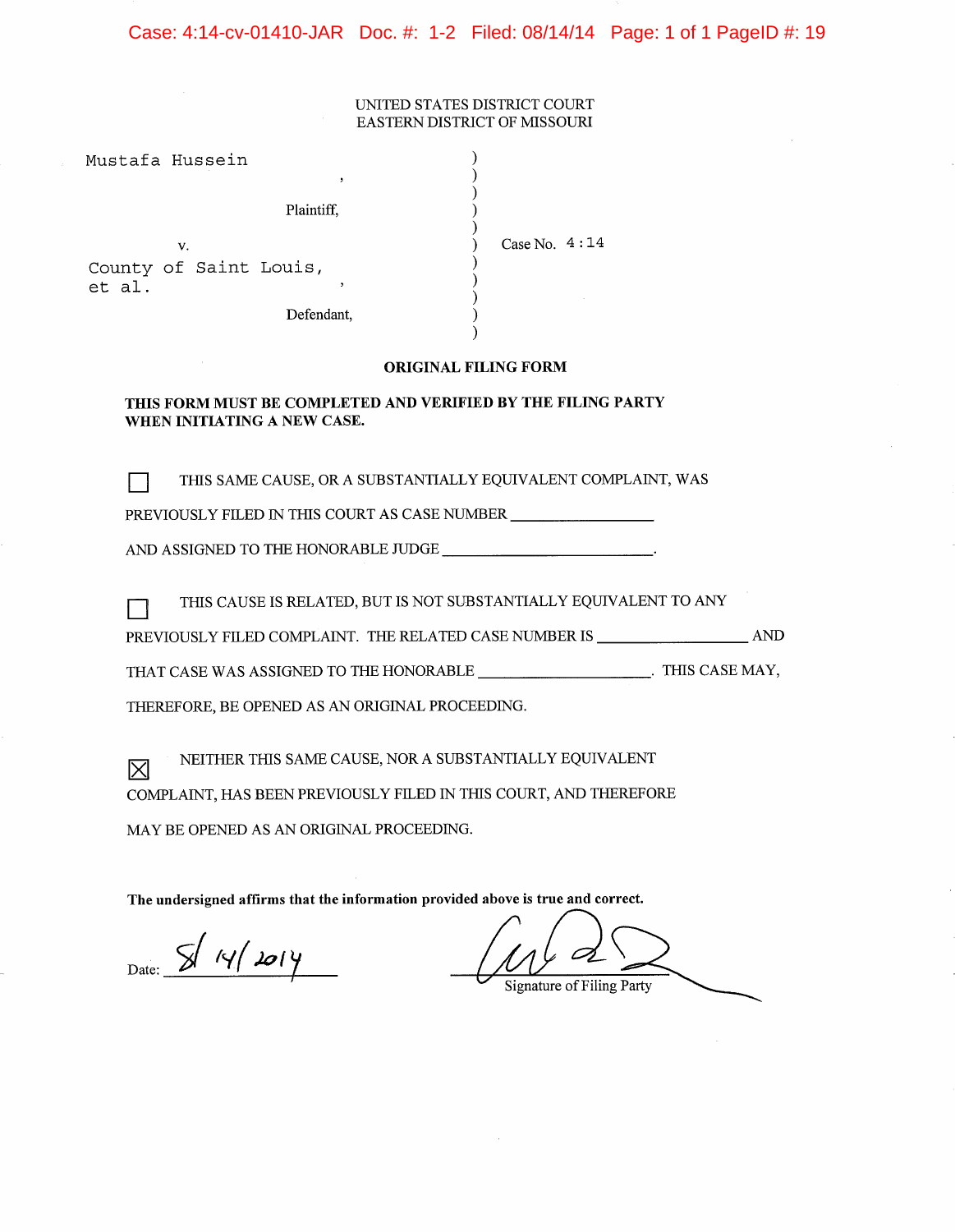Case: 4:14-cv-01410-JAR Doc. #: 1-2 Filed: 08/14/14 Page: 1 of 1 PageID #: 19

#### UNITED STATES DISTRICT COURT EASTERN DISTRICT OF MISSOURI

| Mustafa Hussein                  |            |                 |
|----------------------------------|------------|-----------------|
|                                  | b.         |                 |
|                                  | Plaintiff, |                 |
| v.                               |            | Case No. $4:14$ |
| County of Saint Louis,<br>et al. | ٠          |                 |
|                                  | Defendant. |                 |

#### **ORIGINAL FILING FORM**

 $\lambda$ 

#### THIS FORM MUST BE COMPLETED AND VERIFIED BY THE FILING PARTY WHEN INITIATING A NEW CASE.

THIS SAME CAUSE, OR A SUBSTANTIALLY EQUIVALENT COMPLAINT, WAS  $\Box$ 

PREVIOUSLY FILED IN THIS COURT AS CASE NUMBER \_\_\_\_\_\_\_\_\_\_\_\_\_\_\_\_\_\_\_\_\_\_\_\_\_\_\_\_\_\_\_\_\_\_

AND ASSIGNED TO THE HONORABLE JUDGE \_\_\_\_\_\_\_\_\_\_\_\_\_\_\_\_\_\_\_\_\_\_\_\_\_\_.

THIS CAUSE IS RELATED, BUT IS NOT SUBSTANTIALLY EQUIVALENT TO ANY П

PREVIOUSLY FILED COMPLAINT. THE RELATED CASE NUMBER IS \_\_\_\_\_\_\_\_\_\_\_\_\_\_\_\_\_\_\_\_ AND

THEREFORE, BE OPENED AS AN ORIGINAL PROCEEDING.

NEITHER THIS SAME CAUSE, NOR A SUBSTANTIALLY EQUIVALENT 冈 COMPLAINT, HAS BEEN PREVIOUSLY FILED IN THIS COURT, AND THEREFORE

MAY BE OPENED AS AN ORIGINAL PROCEEDING.

The undersigned affirms that the information provided above is true and correct.

 $_{\text{Date:}}$   $\frac{1}{2}$  14/2014

**Signature of Filing Party**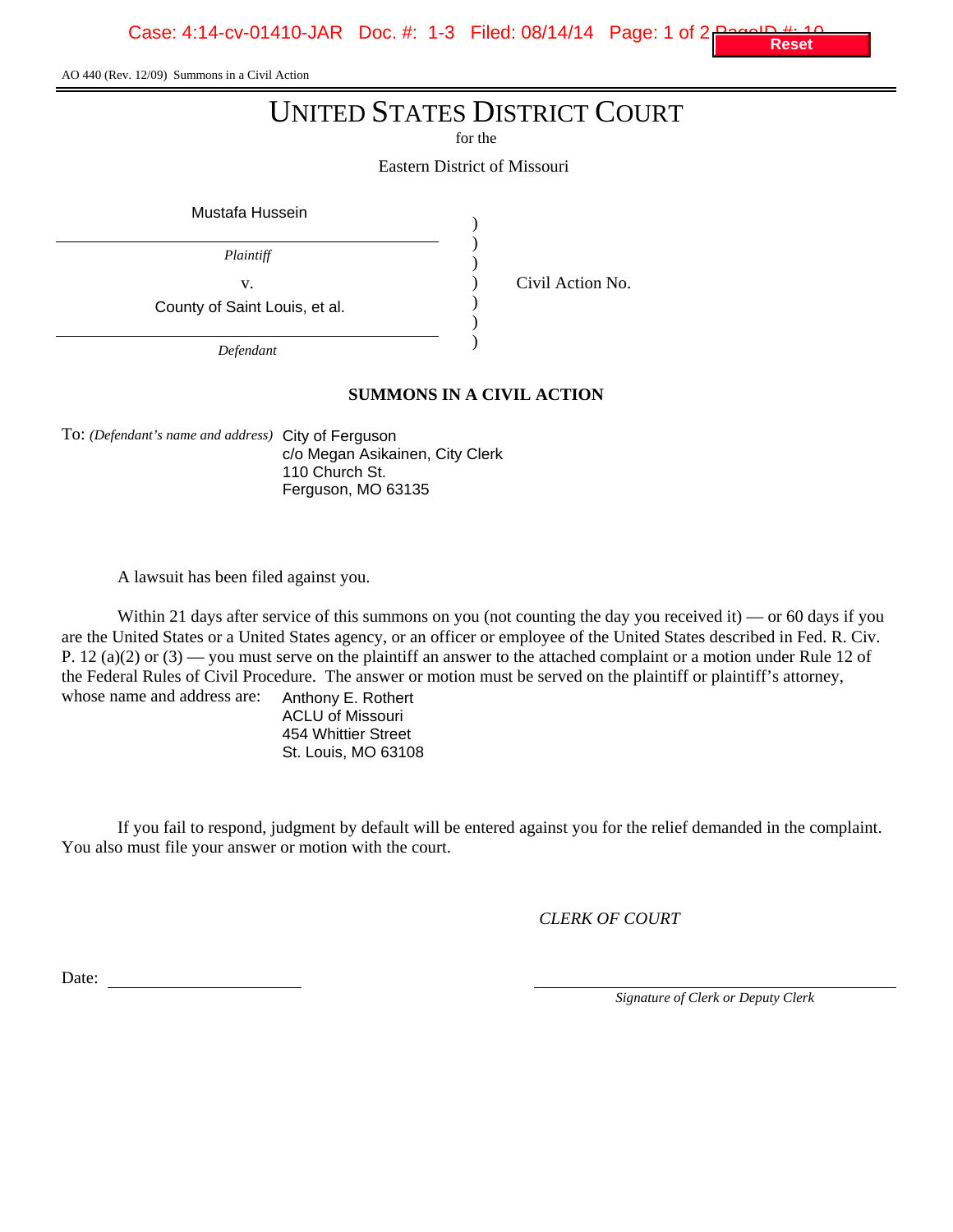Case: 4:14-cv-01410-JAR Doc. #: 1-3 Filed: 08/14/14 Page: 1 of 2

AO 440 (Rev. 12/09) Summons in a Civil Action

# UNITED STATES DISTRICT COURT

for the

Eastern District of Missouri

) ) ) ) ) ) )

Mustafa Hussein

*Plaintiff*

County of Saint Louis, et al.

v. Civil Action No.

*Defendant*

# **SUMMONS IN A CIVIL ACTION**

To: *(Defendant's name and address)* City of Ferguson c/o Megan Asikainen, City Clerk 110 Church St. Ferguson, MO 63135

A lawsuit has been filed against you.

Within 21 days after service of this summons on you (not counting the day you received it) — or 60 days if you are the United States or a United States agency, or an officer or employee of the United States described in Fed. R. Civ. P. 12 (a)(2) or (3) — you must serve on the plaintiff an answer to the attached complaint or a motion under Rule 12 of the Federal Rules of Civil Procedure. The answer or motion must be served on the plaintiff or plaintiff's attorney, whose name and address are:

Anthony E. Rothert ACLU of Missouri 454 Whittier Street St. Louis, MO 63108

If you fail to respond, judgment by default will be entered against you for the relief demanded in the complaint. You also must file your answer or motion with the court.

*CLERK OF COURT*

Date:

*Signature of Clerk or Deputy Clerk*

**Reset**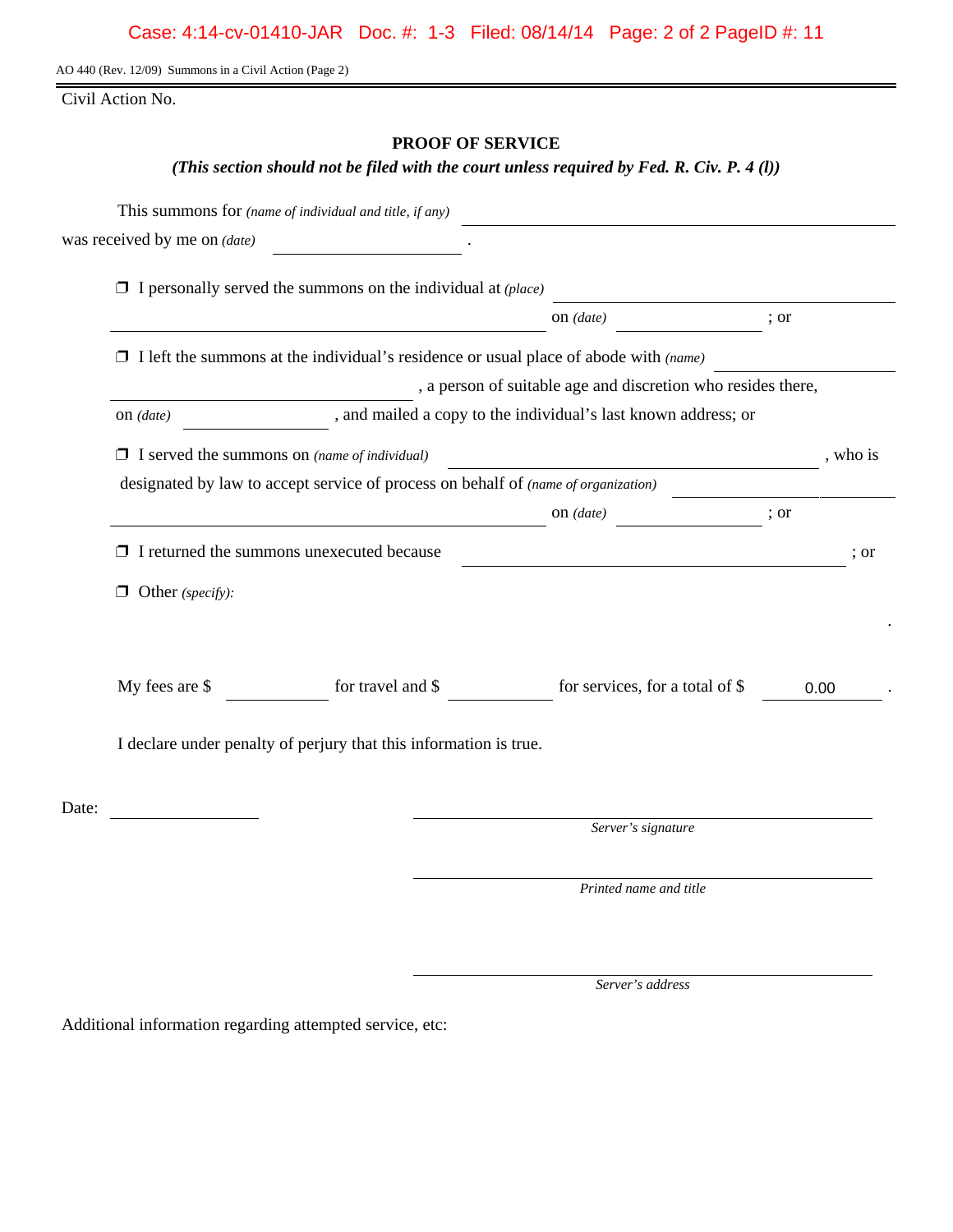AO 440 (Rev. 12/09) Summons in a Civil Action (Page 2)

Civil Action No.

# **PROOF OF SERVICE**

# *(This section should not be filed with the court unless required by Fed. R. Civ. P. 4 (l))*

|       |                                                                                             | This summons for (name of individual and title, if any)                      | <u> 1989 - John Stein, Amerikaansk politiker (</u>                                                                                                                                                                                                                                                                                                                                                                                                         |          |  |  |  |
|-------|---------------------------------------------------------------------------------------------|------------------------------------------------------------------------------|------------------------------------------------------------------------------------------------------------------------------------------------------------------------------------------------------------------------------------------------------------------------------------------------------------------------------------------------------------------------------------------------------------------------------------------------------------|----------|--|--|--|
|       | was received by me on <i>(date)</i>                                                         |                                                                              |                                                                                                                                                                                                                                                                                                                                                                                                                                                            |          |  |  |  |
|       |                                                                                             | $\Box$ I personally served the summons on the individual at ( <i>place</i> ) |                                                                                                                                                                                                                                                                                                                                                                                                                                                            |          |  |  |  |
|       |                                                                                             |                                                                              | $\frac{1}{\sqrt{1-\frac{1}{2}}\cdot\frac{1}{\sqrt{1-\frac{1}{2}}}}$                                                                                                                                                                                                                                                                                                                                                                                        | ; or     |  |  |  |
|       | $\Box$ I left the summons at the individual's residence or usual place of abode with (name) |                                                                              |                                                                                                                                                                                                                                                                                                                                                                                                                                                            |          |  |  |  |
|       |                                                                                             |                                                                              | , a person of suitable age and discretion who resides there,                                                                                                                                                                                                                                                                                                                                                                                               |          |  |  |  |
|       | on $(data)$                                                                                 |                                                                              | and mailed a copy to the individual's last known address; or                                                                                                                                                                                                                                                                                                                                                                                               |          |  |  |  |
|       |                                                                                             | $\Box$ I served the summons on (name of individual)                          |                                                                                                                                                                                                                                                                                                                                                                                                                                                            | , who is |  |  |  |
|       |                                                                                             |                                                                              | designated by law to accept service of process on behalf of (name of organization)                                                                                                                                                                                                                                                                                                                                                                         |          |  |  |  |
|       |                                                                                             |                                                                              | $\frac{1}{\sqrt{1-\frac{1}{2}}}\left\{ \cos \left( \frac{1}{2} \cos \left( \frac{1}{2} \cos \left( \frac{1}{2} \cos \left( \frac{1}{2} \cos \left( \frac{1}{2} \cos \left( \frac{1}{2} \cos \left( \frac{1}{2} \cos \left( \frac{1}{2} \cos \left( \frac{1}{2} \cos \left( \frac{1}{2} \cos \left( \frac{1}{2} \cos \left( \frac{1}{2} \cos \left( \frac{1}{2} \cos \left( \frac{1}{2} \cos \left( \frac{1}{2} \cos \left( \frac{1}{2} \cos \left( \frac{$ | ; or     |  |  |  |
|       |                                                                                             | $\Box$ I returned the summons unexecuted because                             |                                                                                                                                                                                                                                                                                                                                                                                                                                                            | ; or     |  |  |  |
|       | $\Box$ Other (specify):                                                                     |                                                                              |                                                                                                                                                                                                                                                                                                                                                                                                                                                            |          |  |  |  |
|       |                                                                                             |                                                                              |                                                                                                                                                                                                                                                                                                                                                                                                                                                            |          |  |  |  |
|       | My fees are \$                                                                              | for travel and \$                                                            | for services, for a total of \$                                                                                                                                                                                                                                                                                                                                                                                                                            | 0.00     |  |  |  |
|       | I declare under penalty of perjury that this information is true.                           |                                                                              |                                                                                                                                                                                                                                                                                                                                                                                                                                                            |          |  |  |  |
| Date: |                                                                                             |                                                                              |                                                                                                                                                                                                                                                                                                                                                                                                                                                            |          |  |  |  |
|       |                                                                                             |                                                                              | Server's signature                                                                                                                                                                                                                                                                                                                                                                                                                                         |          |  |  |  |
|       |                                                                                             |                                                                              | Printed name and title                                                                                                                                                                                                                                                                                                                                                                                                                                     |          |  |  |  |
|       |                                                                                             |                                                                              |                                                                                                                                                                                                                                                                                                                                                                                                                                                            |          |  |  |  |

*Server's address*

Additional information regarding attempted service, etc: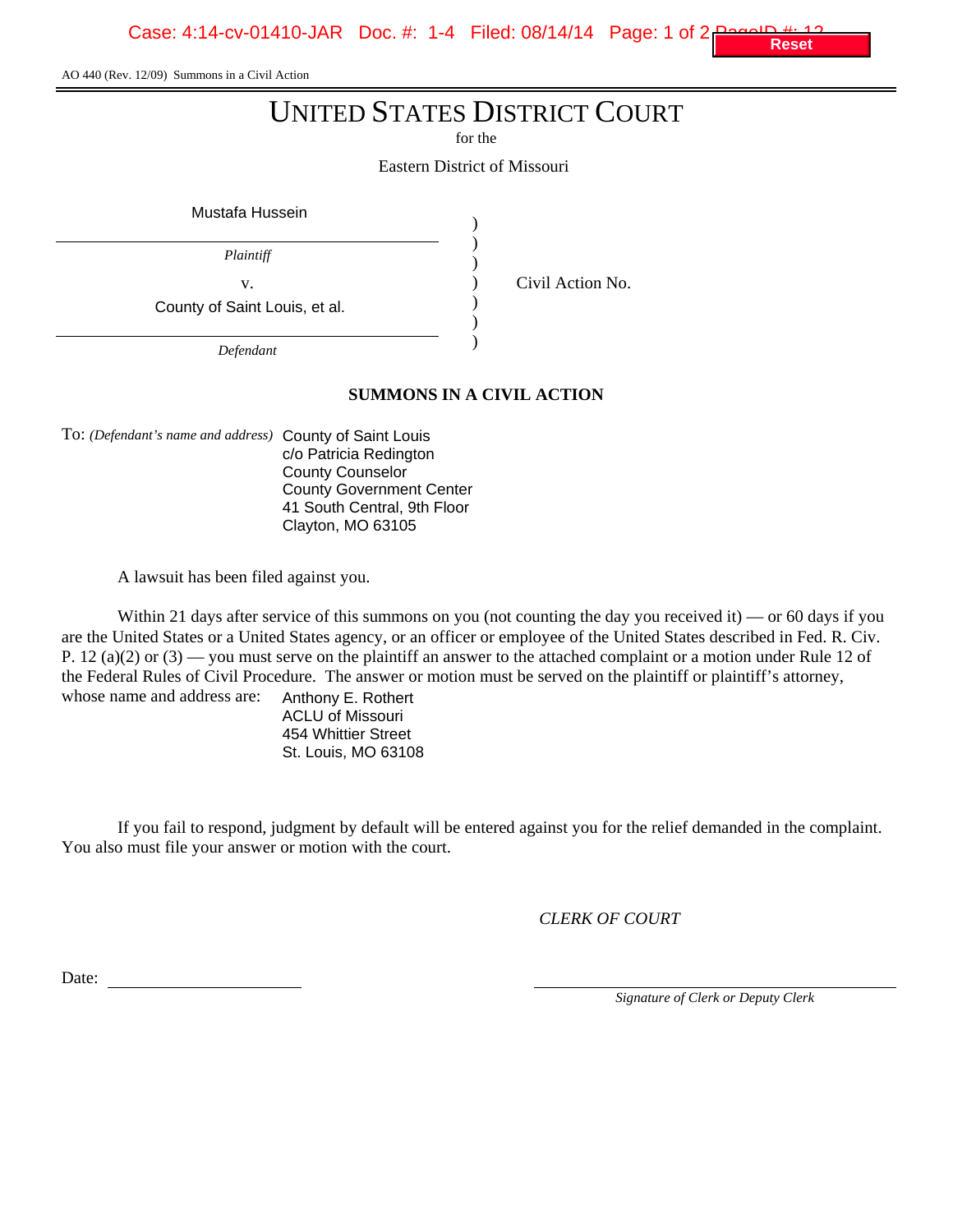Case: 4:14-cv-01410-JAR Doc. #: 1-4 Filed: 08/14/14 Page: 1 of

AO 440 (Rev. 12/09) Summons in a Civil Action

# UNITED STATES DISTRICT COURT

for the

Eastern District of Missouri

) ) ) ) ) ) )

Mustafa Hussein

*Plaintiff*

County of Saint Louis, et al.

v. Civil Action No.

*Defendant*

# **SUMMONS IN A CIVIL ACTION**

To: *(Defendant's name and address)* County of Saint Louis c/o Patricia Redington County Counselor County Government Center 41 South Central, 9th Floor Clayton, MO 63105

A lawsuit has been filed against you.

Within 21 days after service of this summons on you (not counting the day you received it) — or 60 days if you are the United States or a United States agency, or an officer or employee of the United States described in Fed. R. Civ. P. 12 (a)(2) or  $(3)$  — you must serve on the plaintiff an answer to the attached complaint or a motion under Rule 12 of the Federal Rules of Civil Procedure. The answer or motion must be served on the plaintiff or plaintiff's attorney, whose name and address are:

Anthony E. Rothert ACLU of Missouri 454 Whittier Street St. Louis, MO 63108

If you fail to respond, judgment by default will be entered against you for the relief demanded in the complaint. You also must file your answer or motion with the court.

*CLERK OF COURT*

Date:

*Signature of Clerk or Deputy Clerk*

**Reset**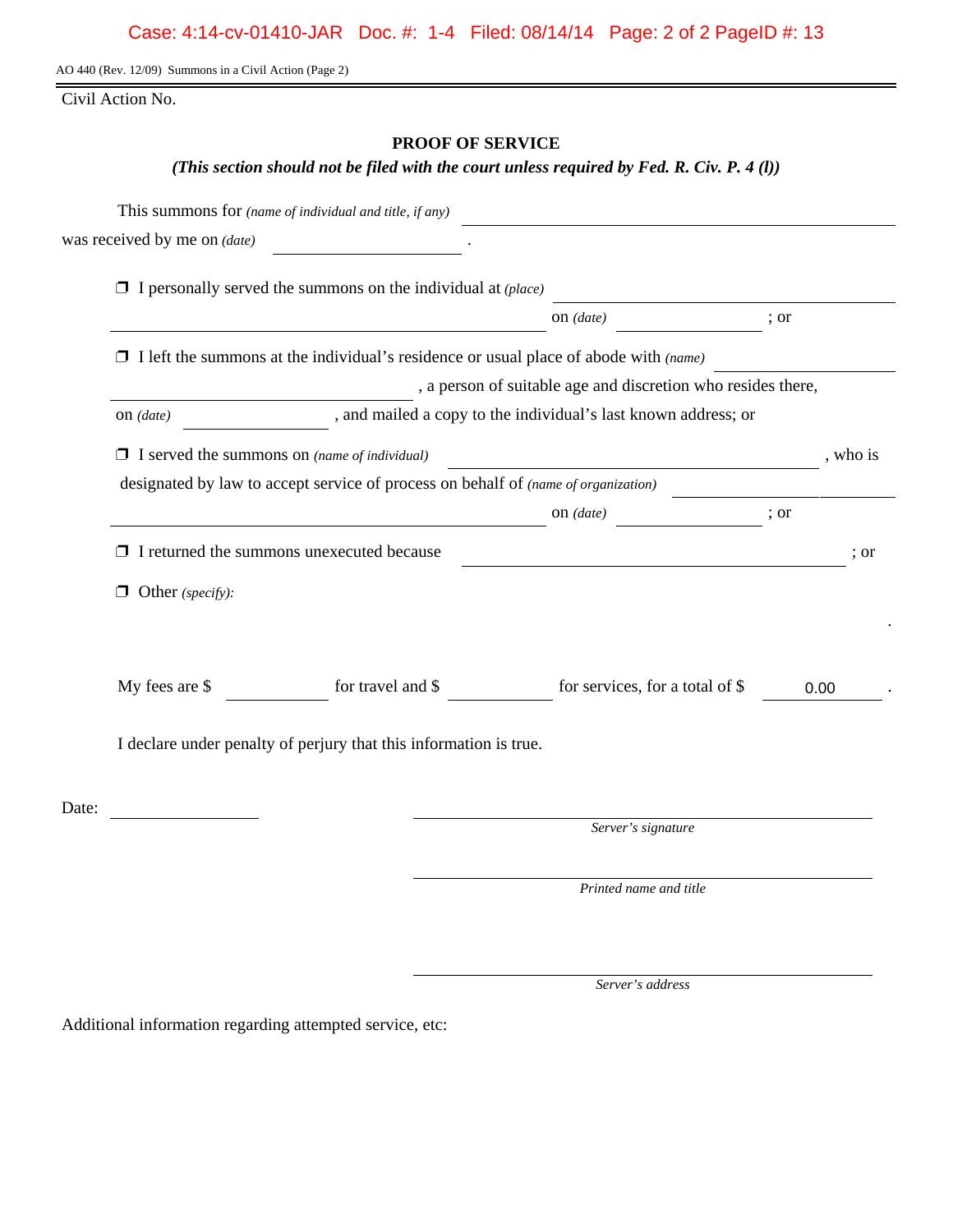AO 440 (Rev. 12/09) Summons in a Civil Action (Page 2)

Civil Action No.

# **PROOF OF SERVICE**

# *(This section should not be filed with the court unless required by Fed. R. Civ. P. 4 (l))*

|       |                                                                                             | This summons for (name of individual and title, if any)                      |                                                                                                                                                                                                                                                                                                                                                                                                                      |          |  |  |
|-------|---------------------------------------------------------------------------------------------|------------------------------------------------------------------------------|----------------------------------------------------------------------------------------------------------------------------------------------------------------------------------------------------------------------------------------------------------------------------------------------------------------------------------------------------------------------------------------------------------------------|----------|--|--|
|       | was received by me on (date)                                                                |                                                                              |                                                                                                                                                                                                                                                                                                                                                                                                                      |          |  |  |
|       |                                                                                             | $\Box$ I personally served the summons on the individual at ( <i>place</i> ) |                                                                                                                                                                                                                                                                                                                                                                                                                      |          |  |  |
|       |                                                                                             |                                                                              | on $(data)$                                                                                                                                                                                                                                                                                                                                                                                                          | ; or     |  |  |
|       | $\Box$ I left the summons at the individual's residence or usual place of abode with (name) |                                                                              |                                                                                                                                                                                                                                                                                                                                                                                                                      |          |  |  |
|       |                                                                                             |                                                                              | , a person of suitable age and discretion who resides there,                                                                                                                                                                                                                                                                                                                                                         |          |  |  |
|       | on (date)                                                                                   |                                                                              | , and mailed a copy to the individual's last known address; or                                                                                                                                                                                                                                                                                                                                                       |          |  |  |
|       |                                                                                             | $\Box$ I served the summons on (name of individual)                          |                                                                                                                                                                                                                                                                                                                                                                                                                      | , who is |  |  |
|       |                                                                                             |                                                                              | designated by law to accept service of process on behalf of (name of organization)                                                                                                                                                                                                                                                                                                                                   |          |  |  |
|       |                                                                                             |                                                                              | $\frac{1}{\sqrt{1-\frac{1}{2}}\sqrt{1-\frac{1}{2}}\sqrt{1-\frac{1}{2}}\sqrt{1-\frac{1}{2}}\sqrt{1-\frac{1}{2}}\sqrt{1-\frac{1}{2}}\sqrt{1-\frac{1}{2}}\sqrt{1-\frac{1}{2}}\sqrt{1-\frac{1}{2}}\sqrt{1-\frac{1}{2}}\sqrt{1-\frac{1}{2}}\sqrt{1-\frac{1}{2}}\sqrt{1-\frac{1}{2}}\sqrt{1-\frac{1}{2}}\sqrt{1-\frac{1}{2}}\sqrt{1-\frac{1}{2}}\sqrt{1-\frac{1}{2}}\sqrt{1-\frac{1}{2}}\sqrt{1-\frac{1}{2}}\sqrt{1-\frac$ | ; or     |  |  |
|       |                                                                                             | $\Box$ I returned the summons unexecuted because                             |                                                                                                                                                                                                                                                                                                                                                                                                                      | ; or     |  |  |
|       | $\Box$ Other (specify):                                                                     |                                                                              |                                                                                                                                                                                                                                                                                                                                                                                                                      |          |  |  |
|       |                                                                                             |                                                                              |                                                                                                                                                                                                                                                                                                                                                                                                                      |          |  |  |
|       |                                                                                             |                                                                              |                                                                                                                                                                                                                                                                                                                                                                                                                      |          |  |  |
|       | My fees are \$                                                                              | for travel and $\$$                                                          | for services, for a total of \$                                                                                                                                                                                                                                                                                                                                                                                      | 0.00     |  |  |
|       | I declare under penalty of perjury that this information is true.                           |                                                                              |                                                                                                                                                                                                                                                                                                                                                                                                                      |          |  |  |
| Date: |                                                                                             |                                                                              |                                                                                                                                                                                                                                                                                                                                                                                                                      |          |  |  |
|       |                                                                                             |                                                                              | Server's signature                                                                                                                                                                                                                                                                                                                                                                                                   |          |  |  |
|       |                                                                                             |                                                                              | Printed name and title                                                                                                                                                                                                                                                                                                                                                                                               |          |  |  |
|       |                                                                                             |                                                                              |                                                                                                                                                                                                                                                                                                                                                                                                                      |          |  |  |

*Server's address*

Additional information regarding attempted service, etc: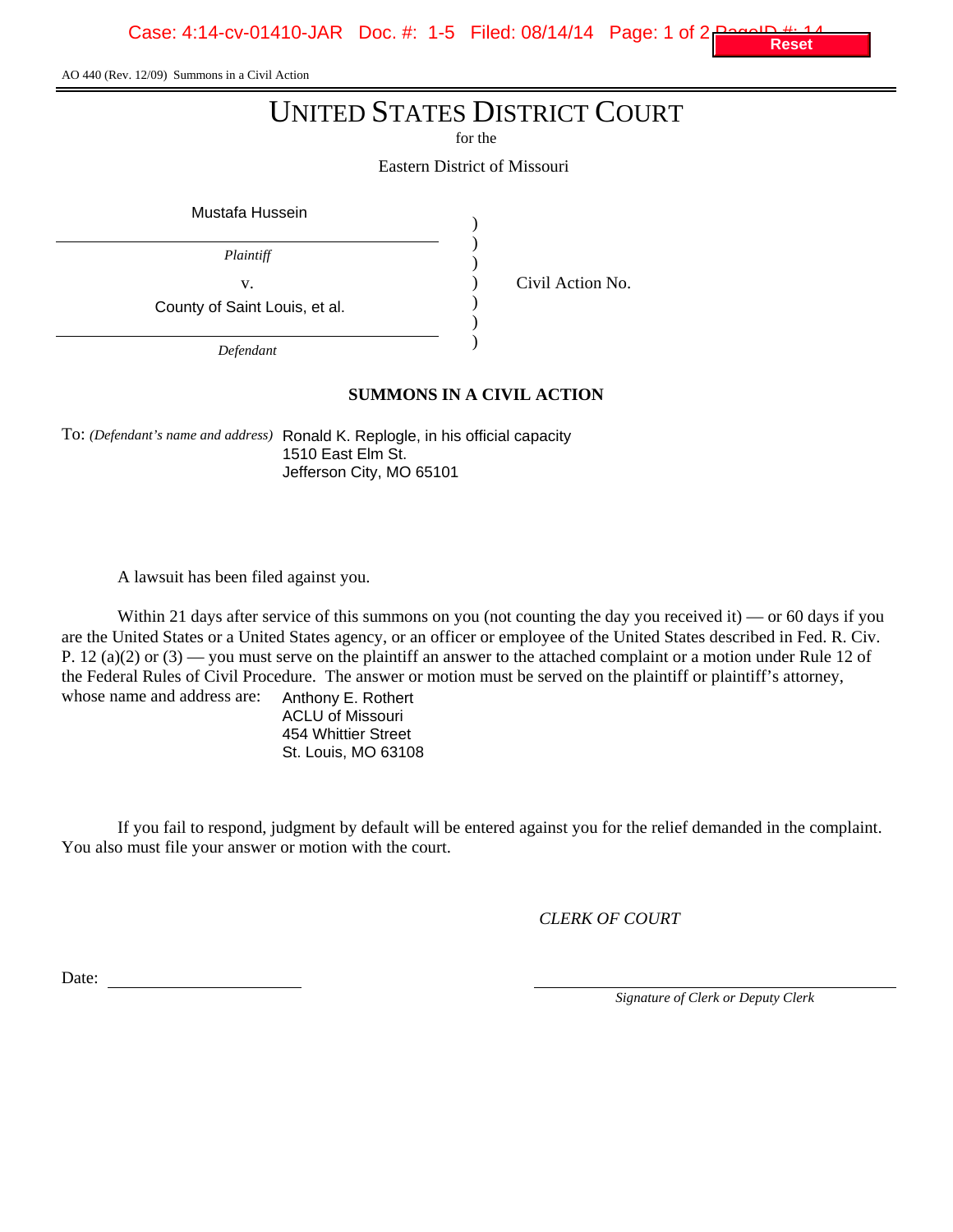Case: 4:14-cv-01410-JAR Doc. #: 1-5 Filed: 08/14/14 Page: 1 of 2

AO 440 (Rev. 12/09) Summons in a Civil Action

# UNITED STATES DISTRICT COURT

for the

Eastern District of Missouri

) ) ) ) ) ) )

Mustafa Hussein

*Plaintiff*

County of Saint Louis, et al.

v. Civil Action No.

*Defendant*

# **SUMMONS IN A CIVIL ACTION**

To: *(Defendant's name and address)* Ronald K. Replogle, in his official capacity 1510 East Elm St. Jefferson City, MO 65101

A lawsuit has been filed against you.

Within 21 days after service of this summons on you (not counting the day you received it) — or 60 days if you are the United States or a United States agency, or an officer or employee of the United States described in Fed. R. Civ. P. 12 (a)(2) or  $(3)$  — you must serve on the plaintiff an answer to the attached complaint or a motion under Rule 12 of the Federal Rules of Civil Procedure. The answer or motion must be served on the plaintiff or plaintiff's attorney, whose name and address are:

Anthony E. Rothert ACLU of Missouri 454 Whittier Street St. Louis, MO 63108

If you fail to respond, judgment by default will be entered against you for the relief demanded in the complaint. You also must file your answer or motion with the court.

*CLERK OF COURT*

Date:

*Signature of Clerk or Deputy Clerk*

**Reset**